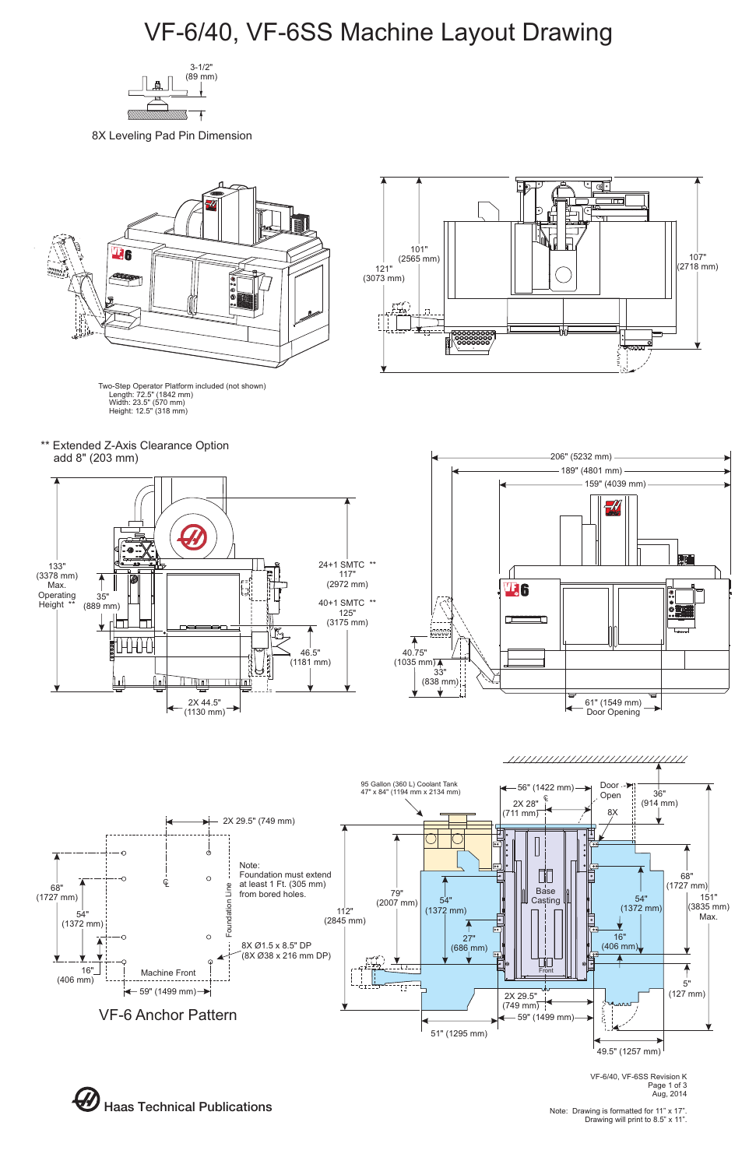



VF-6/40, VF-6SS Revision K Page 1 of 3 Aug, 2014

Note: Drawing is formatted for 11" x 17". Drawing will print to 8.5" x 11".



8X Leveling Pad Pin Dimension



# VF-6/40, VF-6SS Machine Layout Drawing

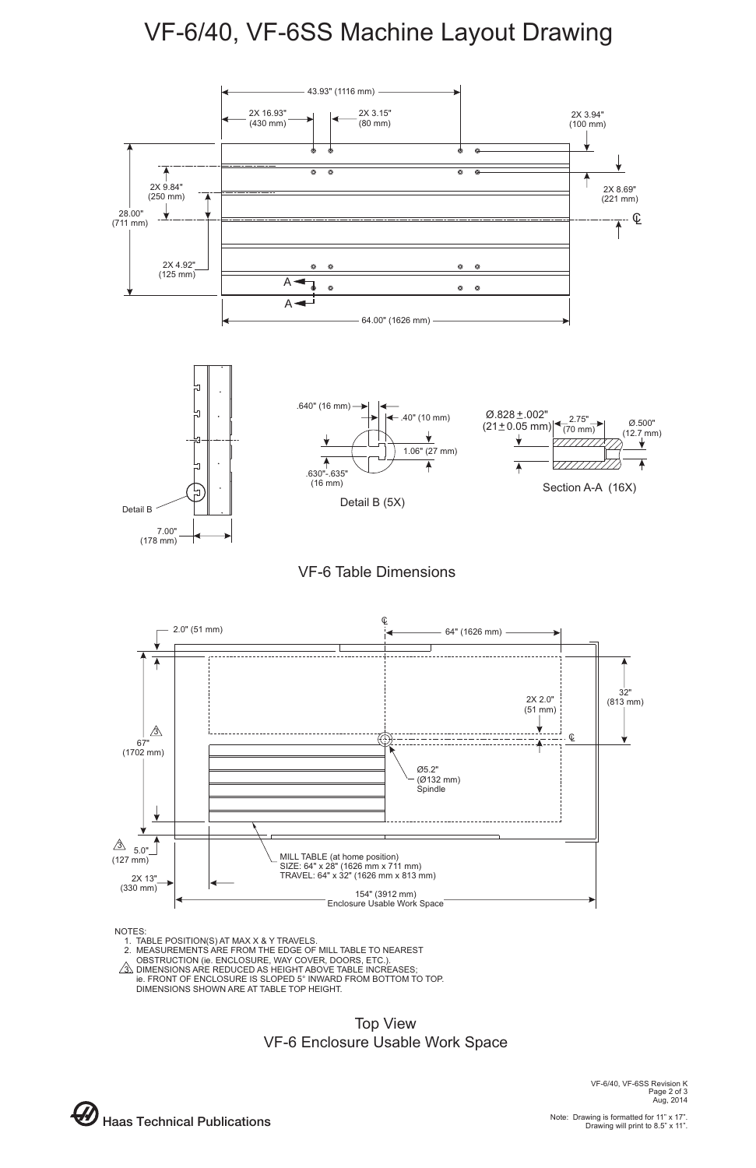VF-6/40, VF-6SS Revision K Page 2 of 3 Aug, 2014



### VF-6/40, VF-6SS Machine Layout Drawing

#### NOTES:

- 1. TABLE POSITION(S) AT MAX X & Y TRAVELS.
- 2. MEASUREMENTS ARE FROM THE EDGE OF MILL TABLE TO NEAREST
- $\wedge$  OBSTRUCTION (ie. ENCLOSURE, WAY COVER, DOORS, ETC.).
- 3. DIMENSIONS ARE REDUCED AS HEIGHT ABOVE TABLE INCREASES;
	- ie. FRONT OF ENCLOSURE IS SLOPED 5° INWARD FROM BOTTOM TO TOP. DIMENSIONS SHOWN ARE AT TABLE TOP HEIGHT.





### Top View VF-6 Enclosure Usable Work Space